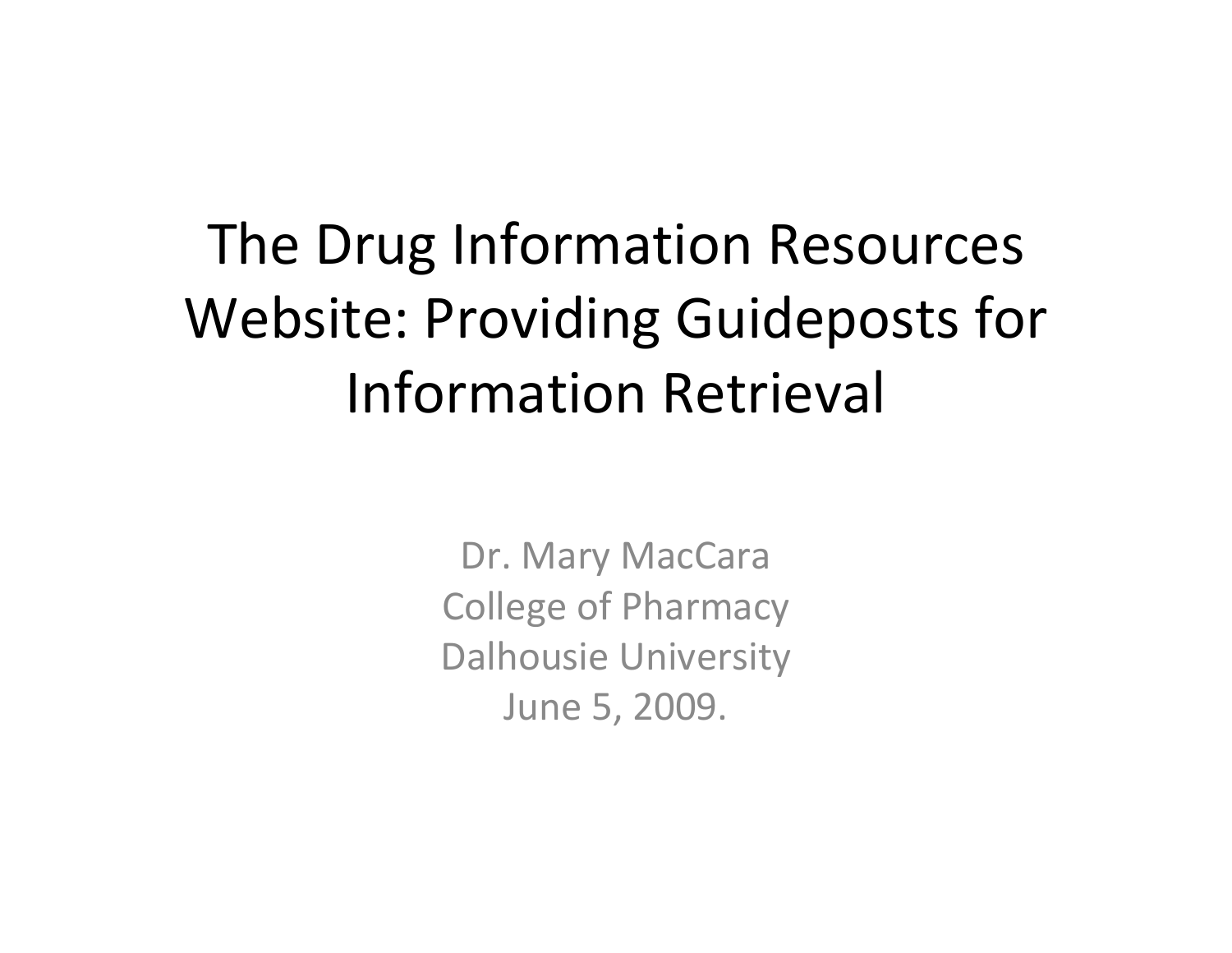## The Drug Information Resources Website: Providing Guideposts for Information Retrieval

Dr. Mary MacCara College of Pharmacy Dalhousie University June 5, 2009.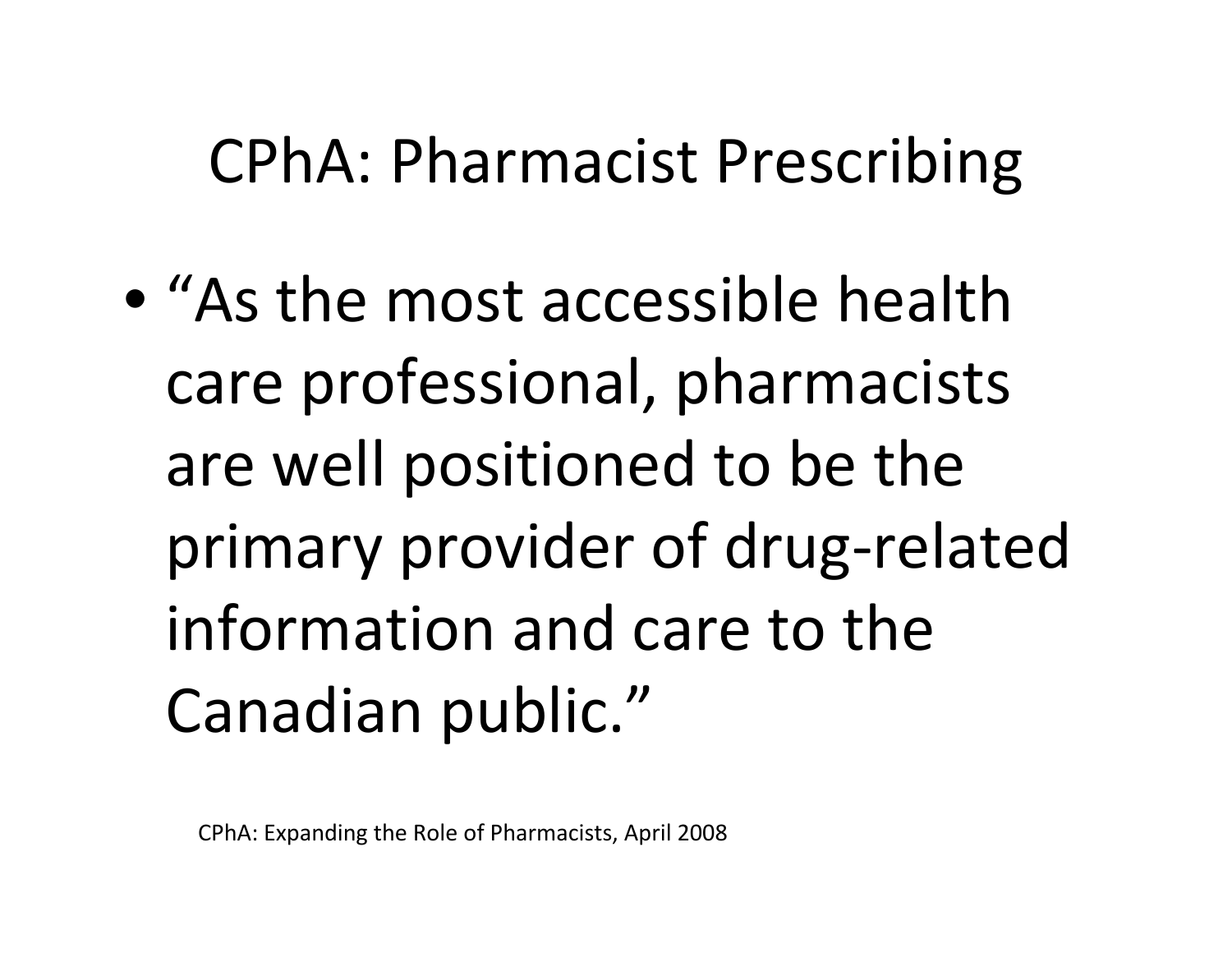## CPhA: Pharmacist Prescribing

• "As the most accessible healthcare professional, pharmacists are well positioned to be the primary provider of drug‐related information and care to the Canadian public."

CPhA: Expanding the Role of Pharmacists, April 2008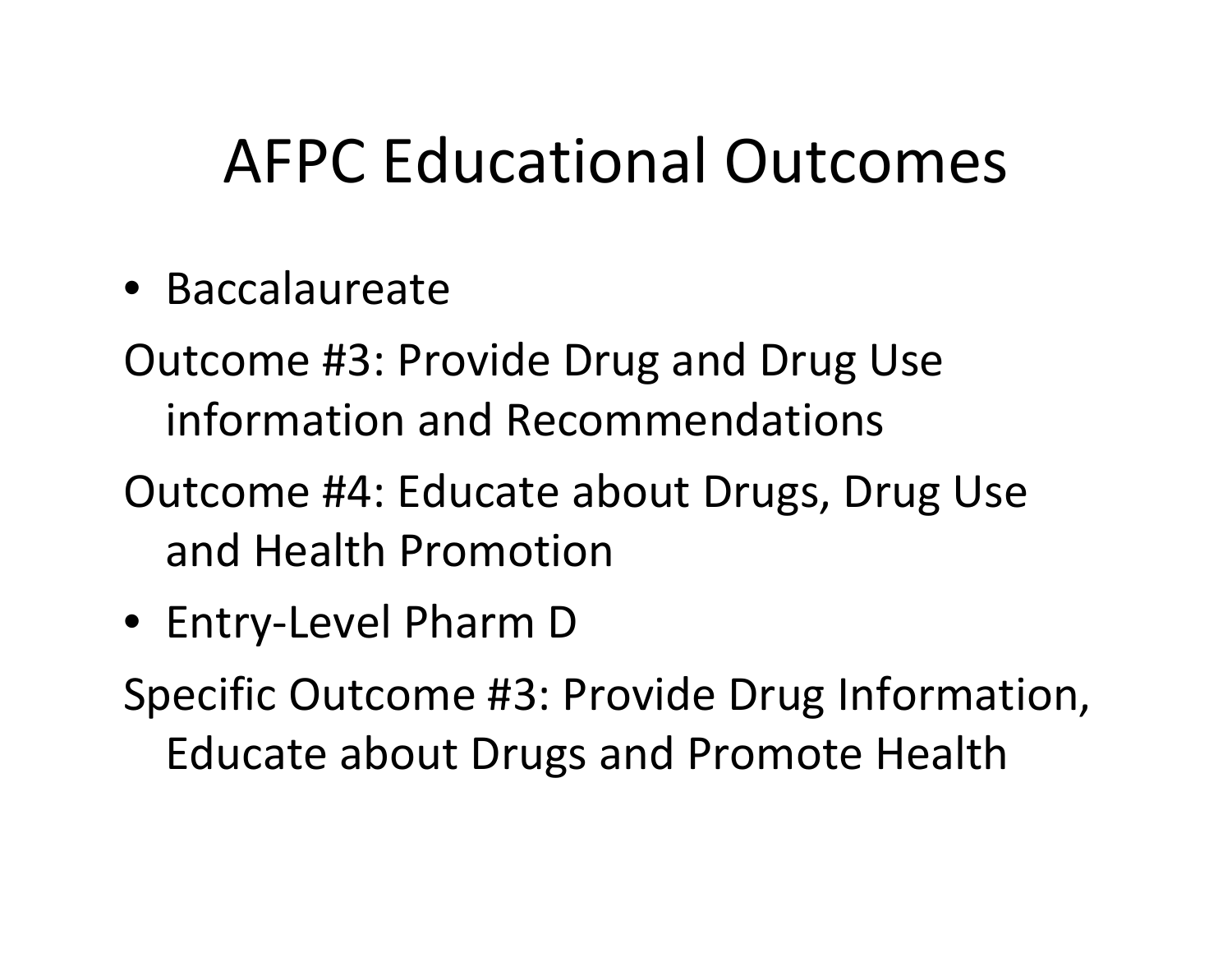## AFPC Educational Outcomes

- Baccalaureate
- Outcome #3: Provide Drug and Drug Use information and Recommendations
- Outcome #4: Educate about Drugs, Drug Use and Health Promotion
- Entry‐Level Pharm D

Specific Outcome #3: Provide Drug Information, Educate about Drugs and Promote Health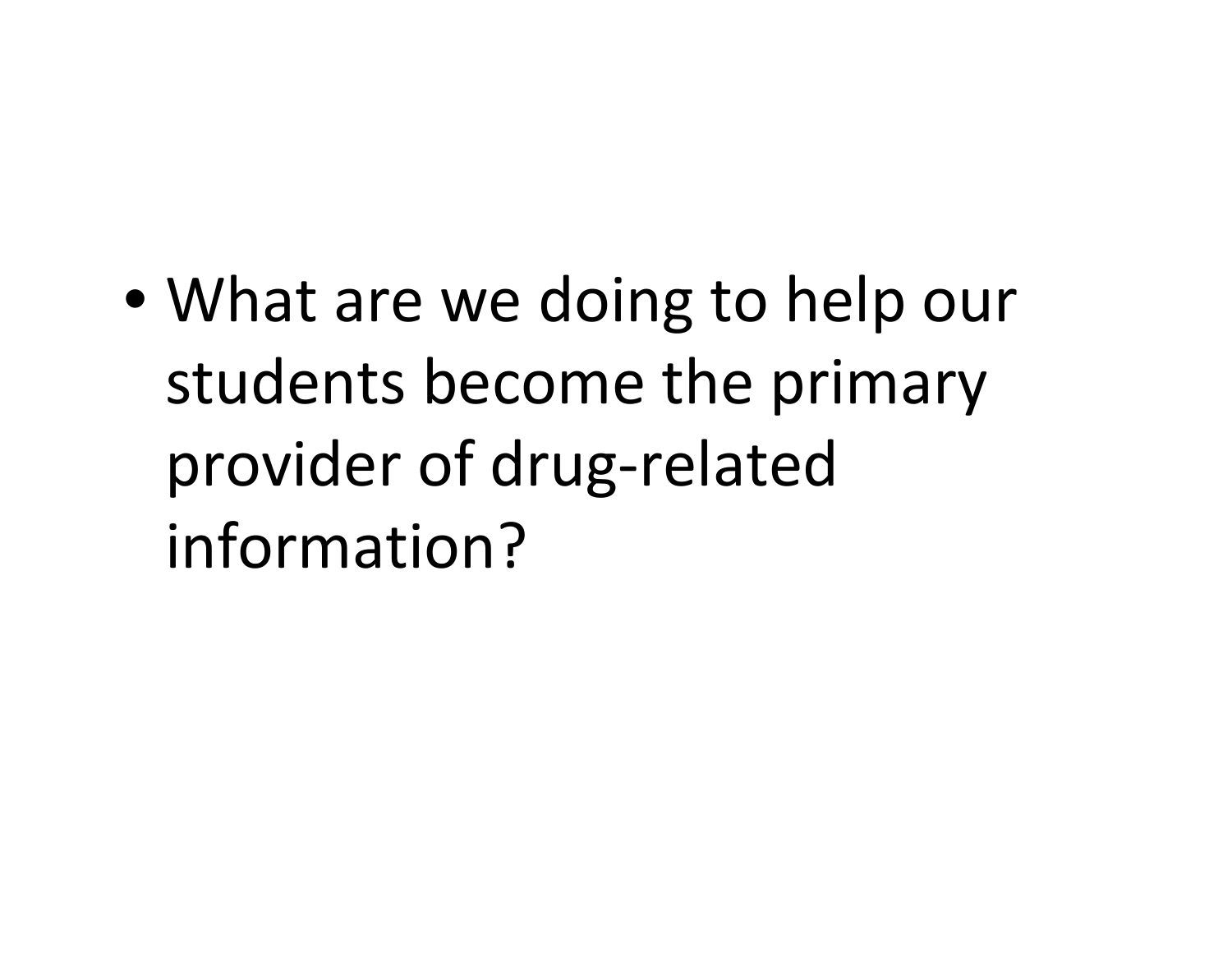• What are we doing to help our students become the primary provider of drug‐related information?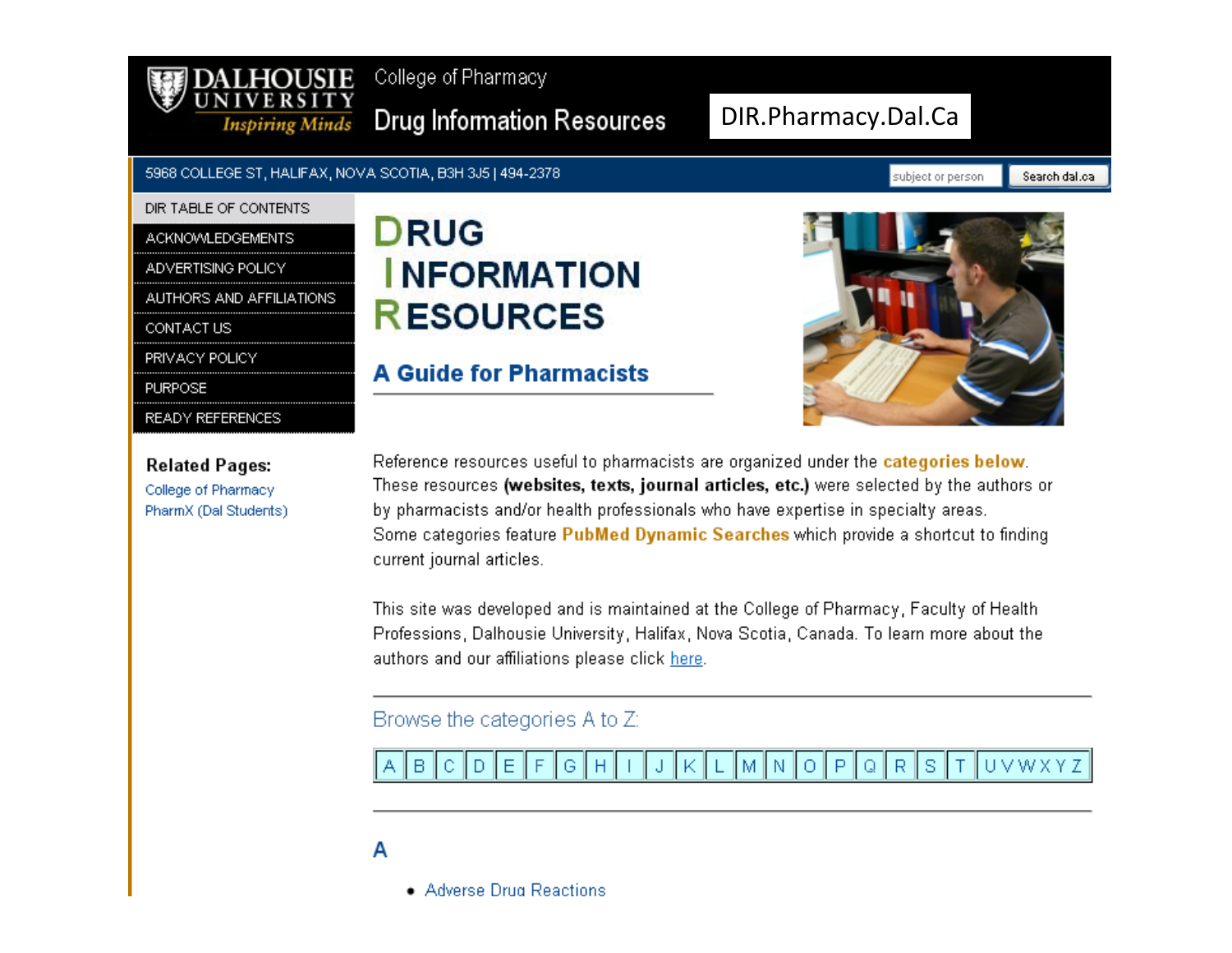

College of Pharmacy

Drug Information Resources

### DIR.Pharmacy.Dal.Ca

#### 5968 COLLEGE ST, HALIFAX, NOVA SCOTIA, B3H 3J5 | 494-2378

#### DIR TABLE OF CONTENTS

#### **ACKNOWLEDGEMENTS**

ADVERTISING POLICY

AUTHORS AND AFFILIATIONS.

CONTACT US

PRIVACY POLICY

**PURPOSE** 

READY REFERENCES

**Related Pages:** 

College of Pharmacy PharmX (Dal Students)

### **DRUG INFORMATION RESOURCES**

### **A Guide for Pharmacists**



Reference resources useful to pharmacists are organized under the categories below. These resources (websites, texts, journal articles, etc.) were selected by the authors or by pharmacists and/or health professionals who have expertise in specialty areas. Some categories feature PubMed Dynamic Searches which provide a shortcut to finding current journal articles.

This site was developed and is maintained at the College of Pharmacy, Faculty of Health. Professions, Dalhousie University, Halifax, Nova Scotia, Canada. To learn more about the authors and our affiliations please click here.

### Browse the categories A to Z:

UVWXYZ  $\mathsf{P}$ 'S R. в D Ε G М N О Q Н

### A

• Adverse Drug Reactions

subject or person

Search dal.ca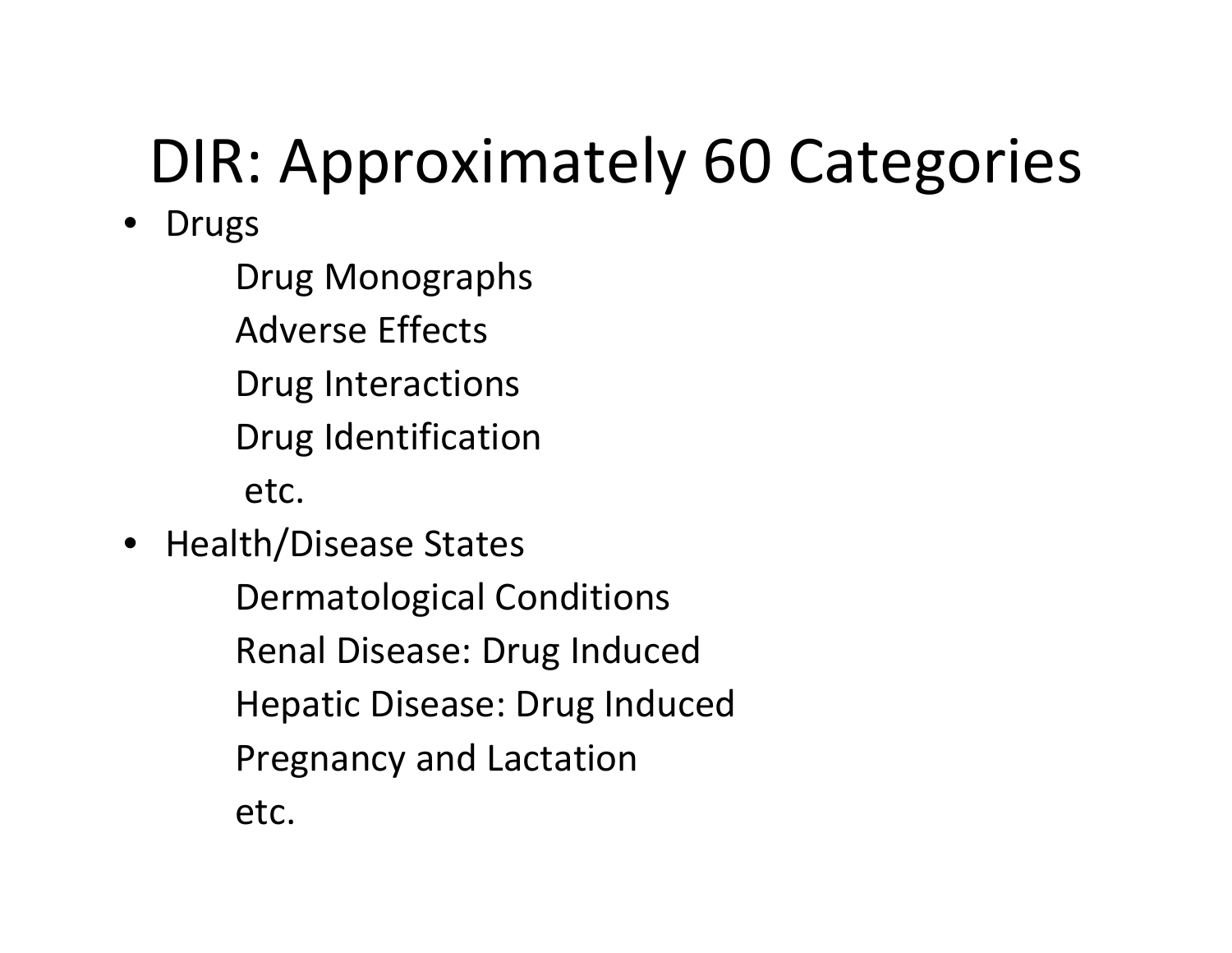# DIR: Approximately 60 Categories

- **Drugs** 
	- Drug Monographs
	- Adverse Effects
	- Drug Interactions
	- Drug Identification
	- etc.
- Health/Disease States
	- Dermatological Conditions Renal Disease: Drug Induced Hepatic Disease: Drug Induced Pregnancy and Lactation
		- etc.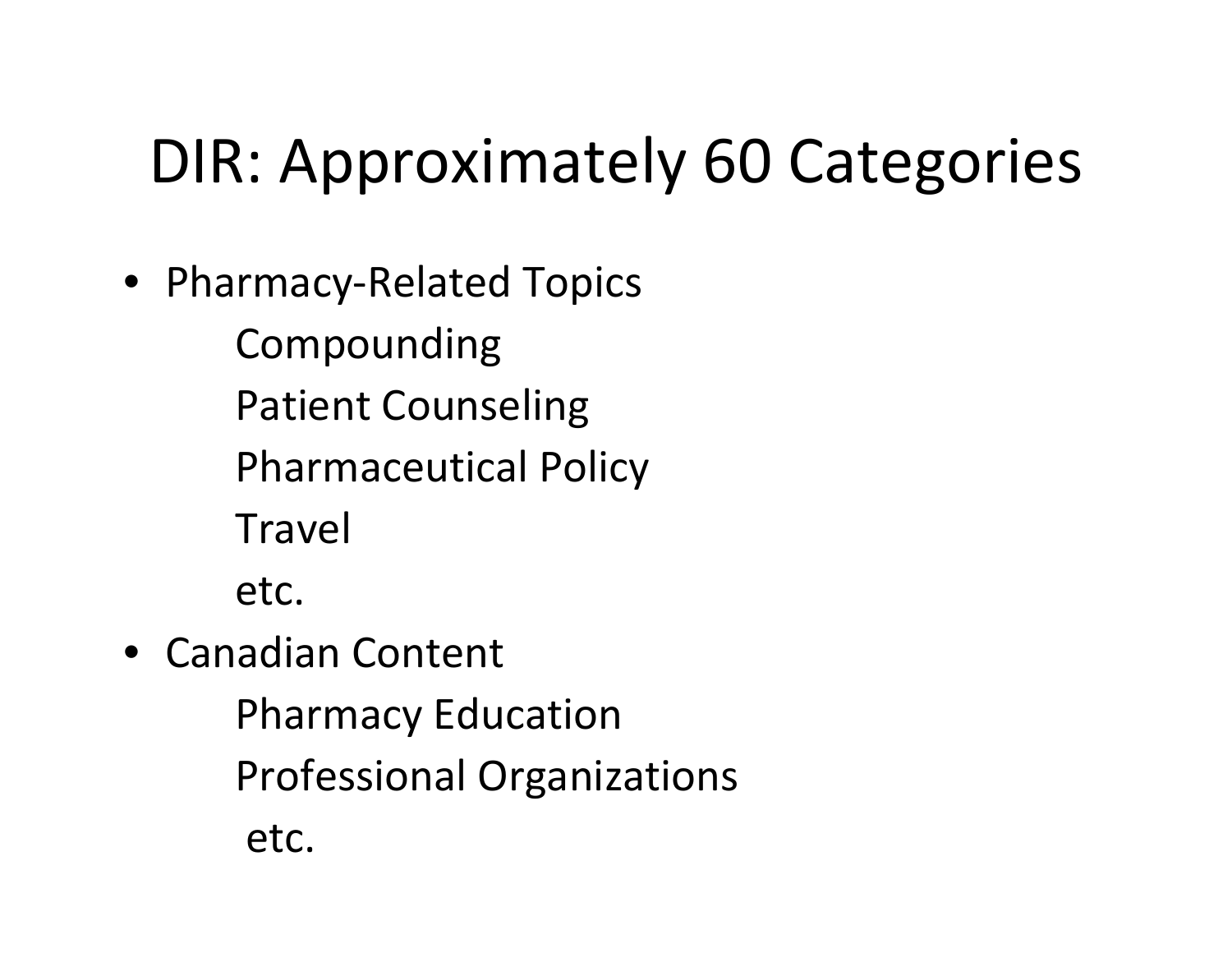# DIR: Approximately 60 Categories

• Pharmacy‐Related Topics

Compounding Patient Counseling Pharmaceutical Policy

**Travel** 

etc.

- Canadian Content Pharmacy Education
	- Professional Organizations

etc.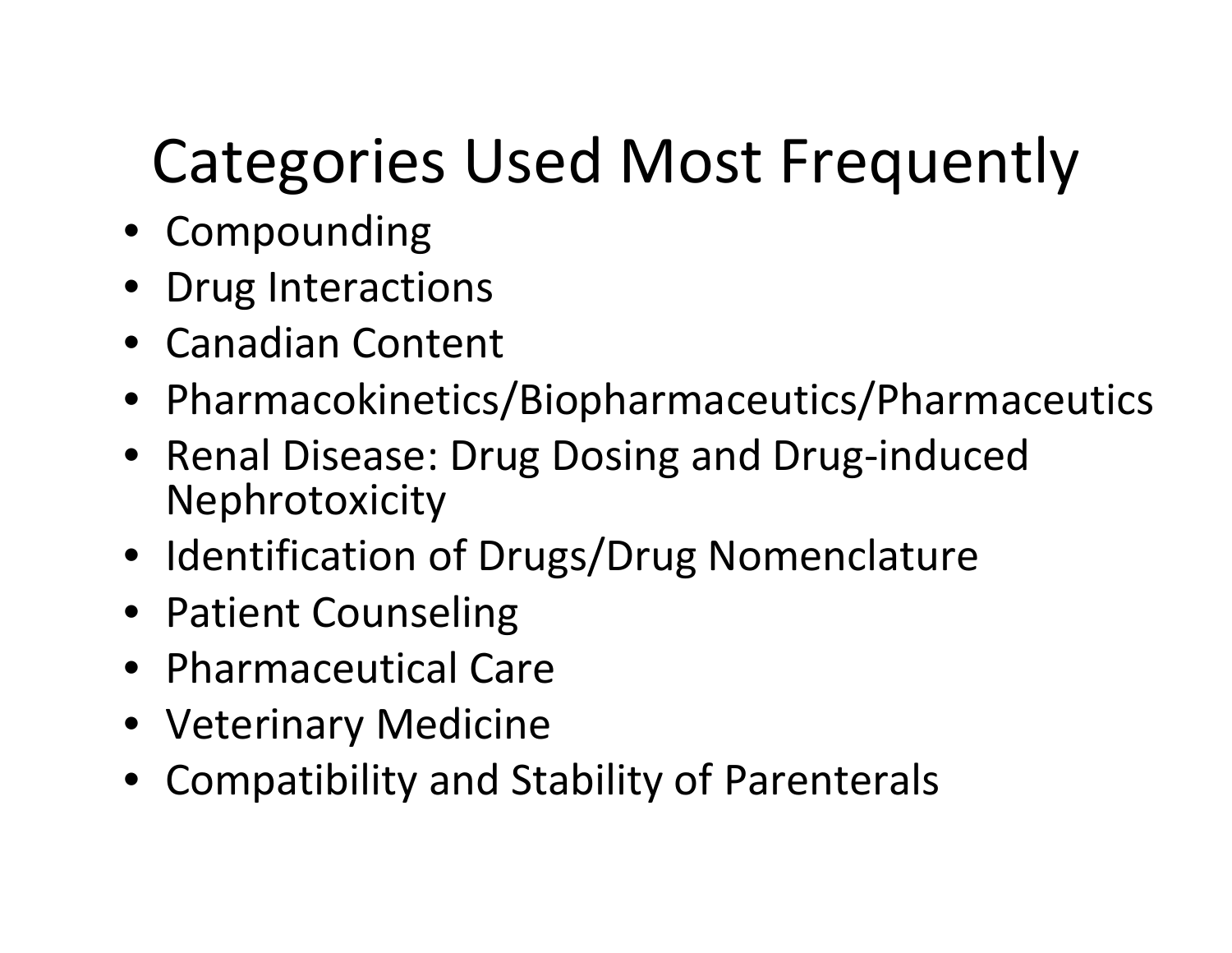# Categories Used Most Frequently

- Compounding
- Drug Interactions
- Canadian Content
- Pharmacokinetics/Biopharmaceutics/Pharmaceutics
- Renal Disease: Drug Dosing and Drug‐induced Nephrotoxicity
- Identification of Drugs/Drug Nomenclature
- Patient Counseling
- Pharmaceutical Care
- Veterinary Medicine
- Compatibility and Stability of Parenterals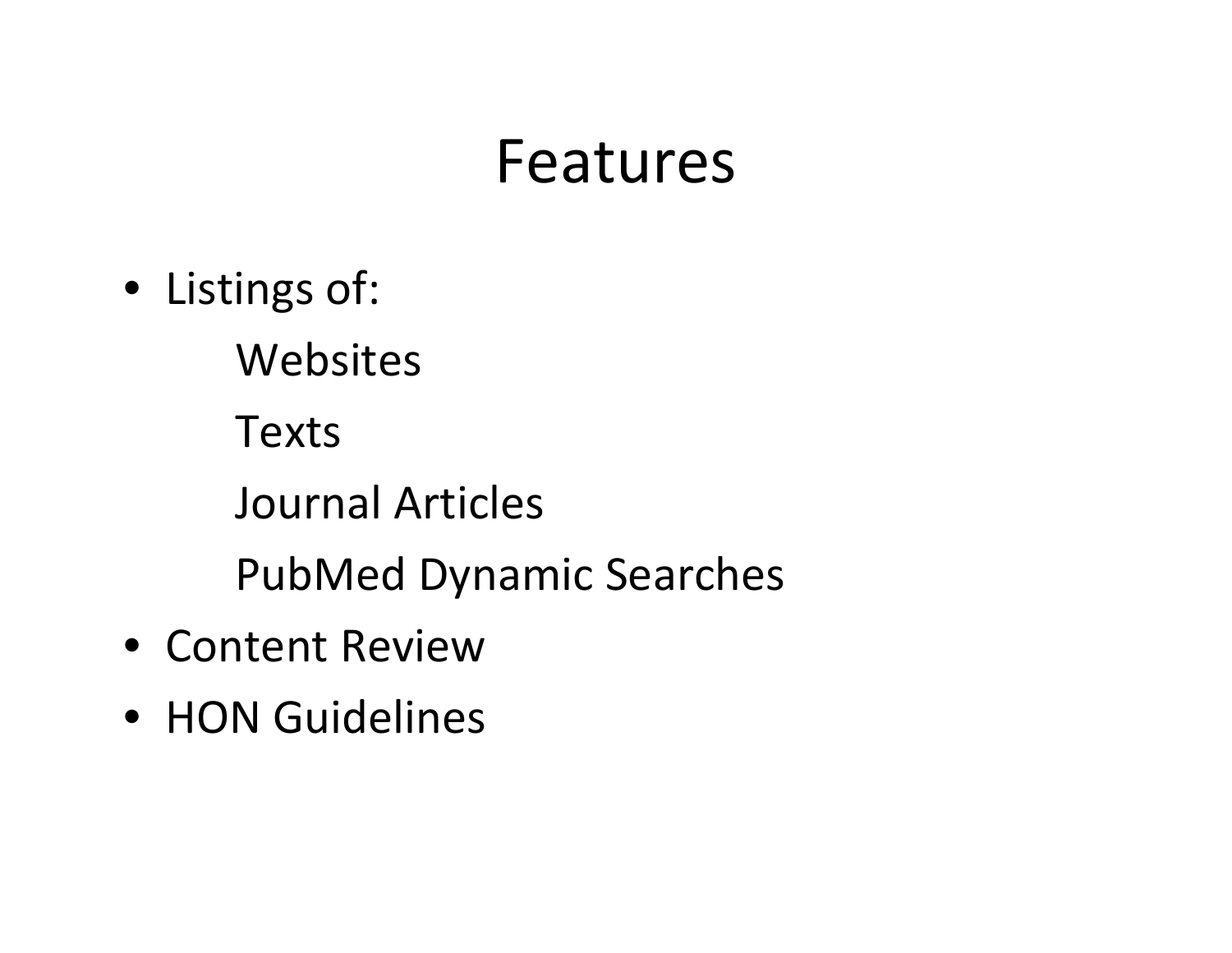### Features

- Listings of:
	- Websites
	- Texts
	- Journal Articles
	- PubMed Dynamic Searches
- Content Review
- HON Guidelines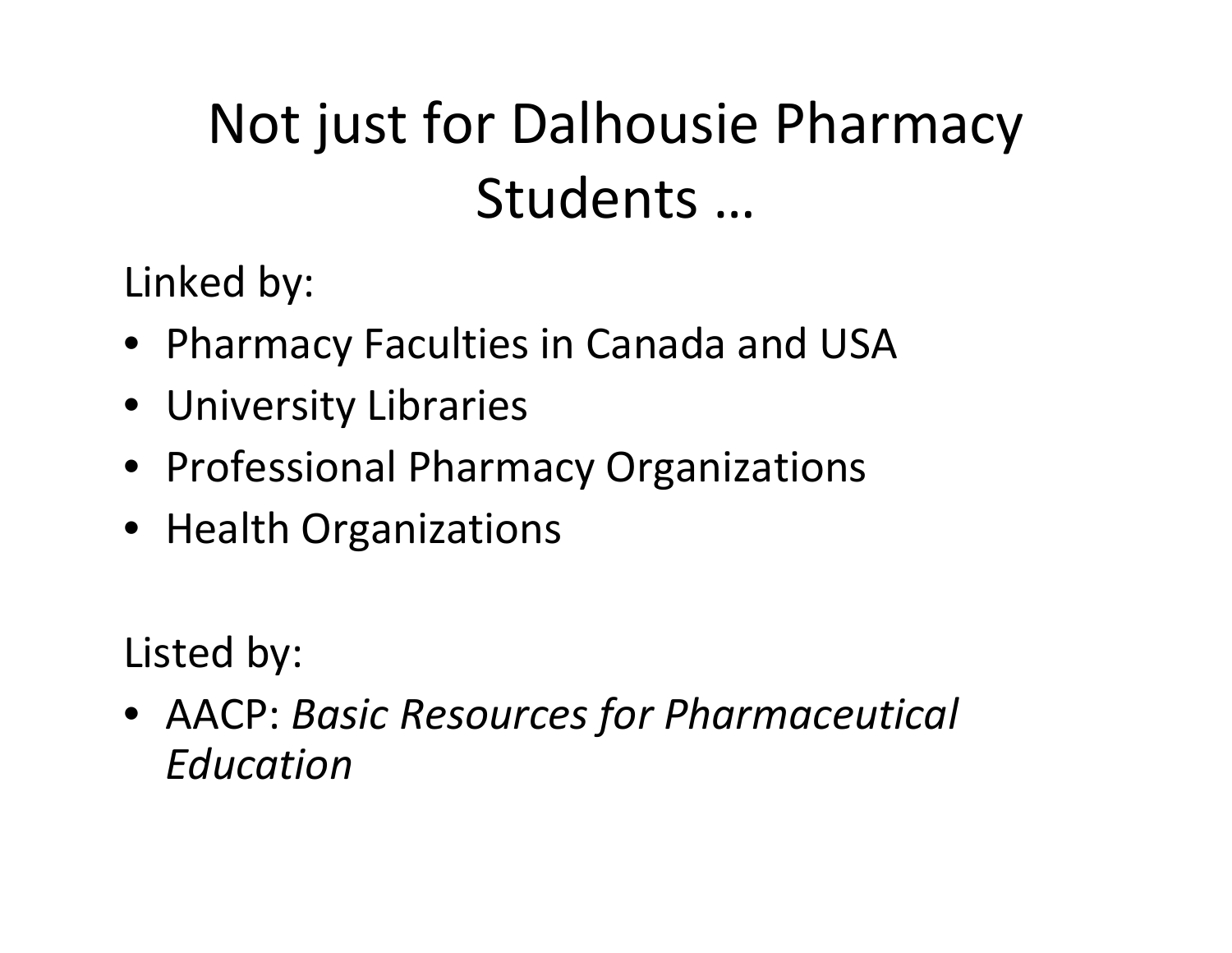## Not just for Dalhousie Pharmacy Students …

Linked by:

- Pharmacy Faculties in Canada and USA
- University Libraries
- Professional Pharmacy Organizations
- Health Organizations

Listed by:

• AACP: *Basic Resources for Pharmaceutical Education*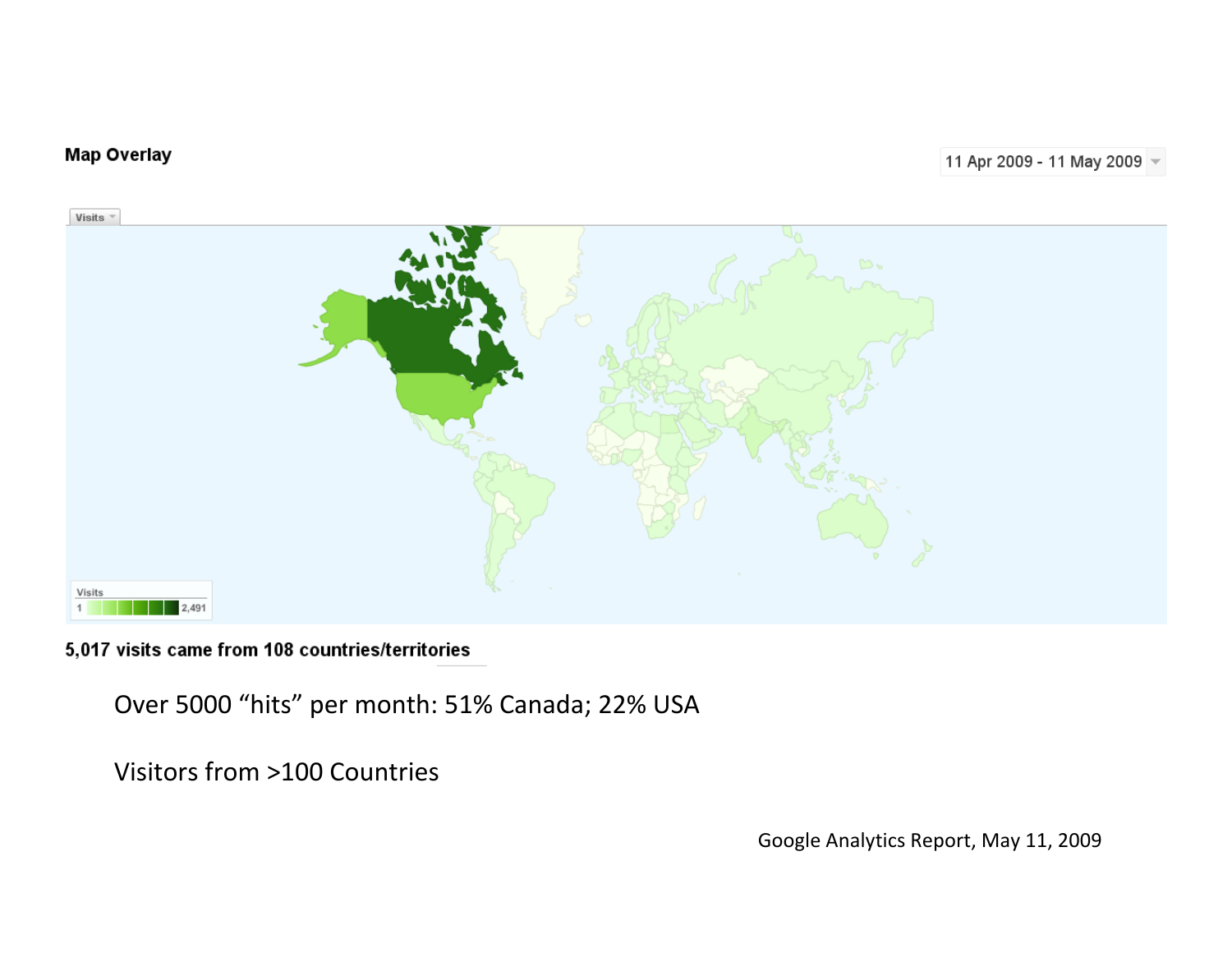#### **Map Overlay**



5,017 visits came from 108 countries/territories

Over 5000 "hits" per month: 51% Canada; 22% USA

Visitors from >100 Countries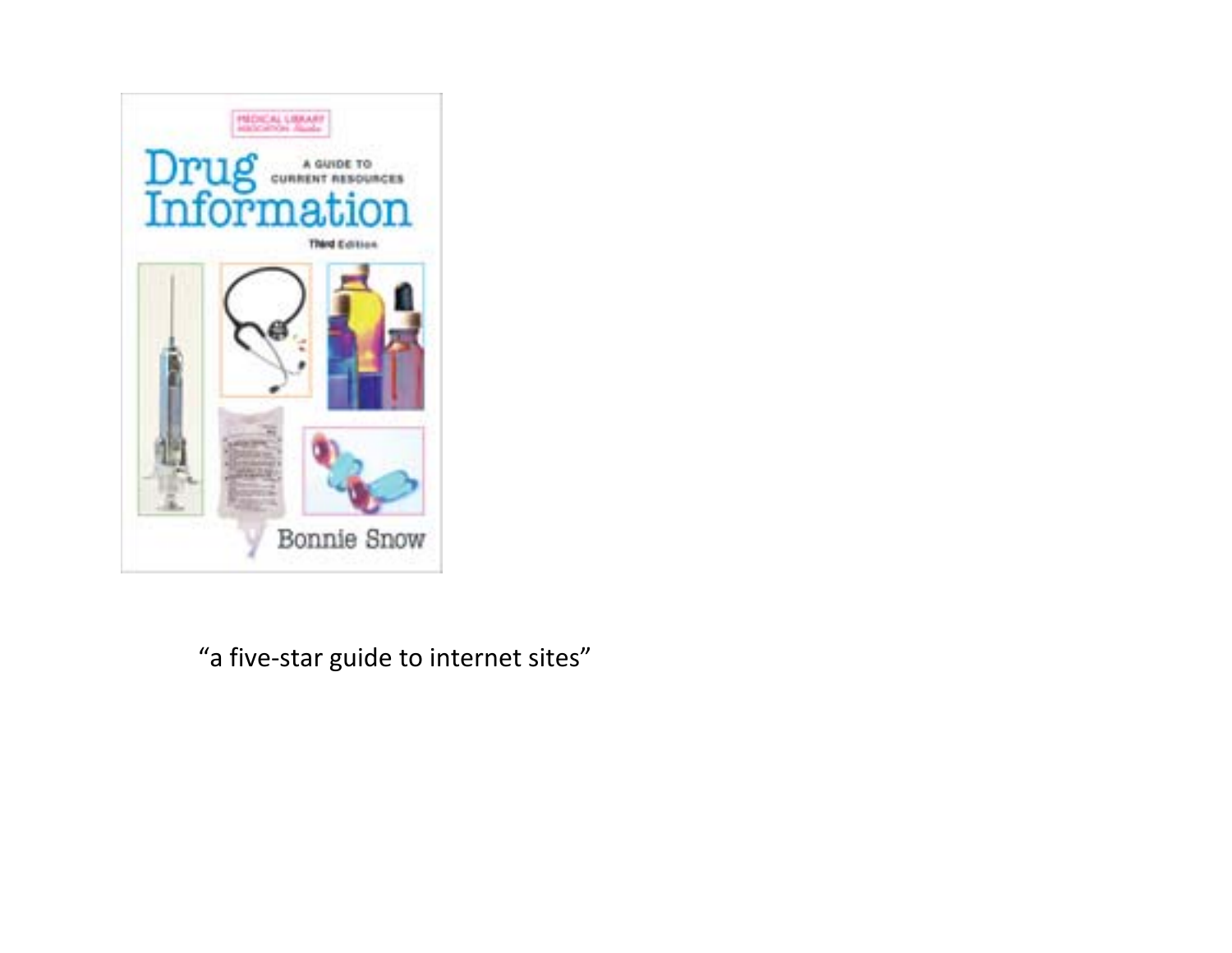

"a five‐star guide to internet sites"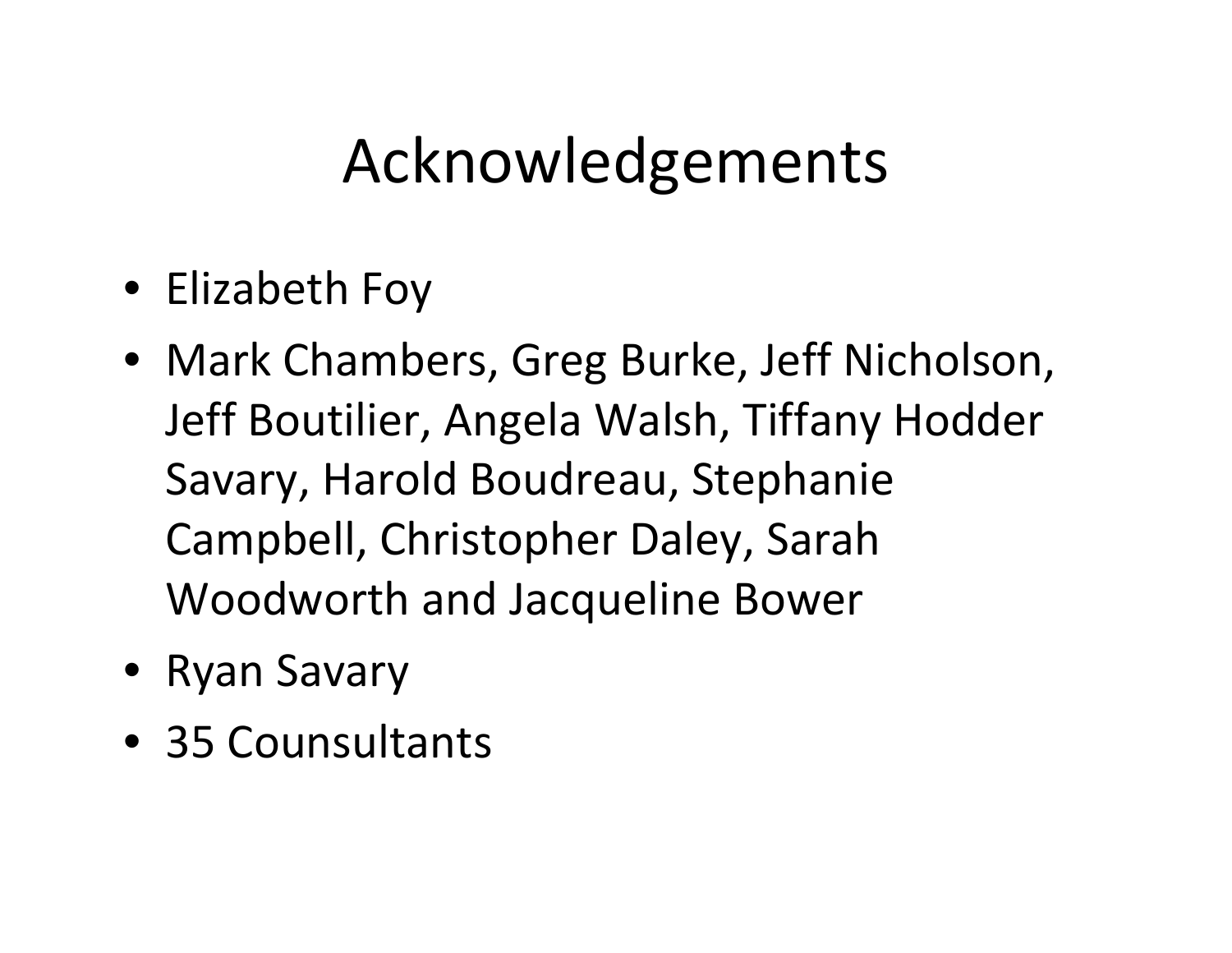# Acknowledgements

- Elizabeth Foy
- Mark Chambers, Greg Burke, Jeff Nicholson, Jeff Boutilier, Angela Walsh, Tiffany Hodder Savary, Harold Boudreau, Stephanie Campbell, Christopher Daley, Sarah Woodworth and Jacqueline Bower
- Ryan Savary
- 35 Counsultants